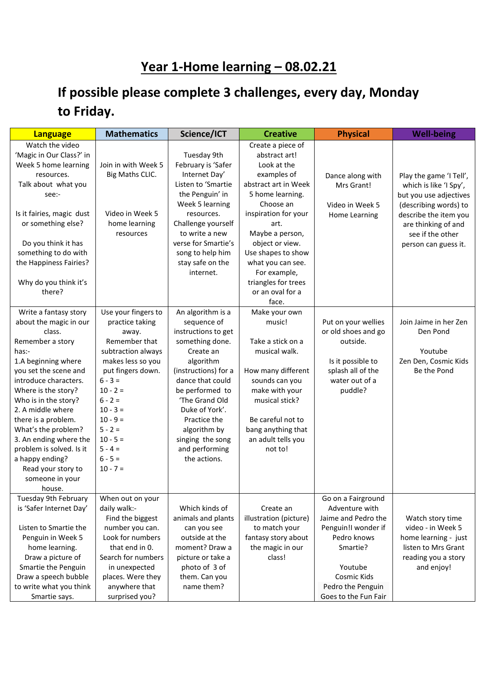## **Year 1-Home learning – 08.02.21**

## **If possible please complete 3 challenges, every day, Monday to Friday.**

| <b>Language</b>           | <b>Mathematics</b>  | Science/ICT          | <b>Creative</b>        | <b>Physical</b>      | <b>Well-being</b>       |
|---------------------------|---------------------|----------------------|------------------------|----------------------|-------------------------|
| Watch the video           |                     |                      | Create a piece of      |                      |                         |
| 'Magic in Our Class?' in  |                     | Tuesday 9th          | abstract art!          |                      |                         |
| Week 5 home learning      | Join in with Week 5 | February is 'Safer   | Look at the            |                      |                         |
| resources.                | Big Maths CLIC.     | Internet Day'        | examples of            | Dance along with     | Play the game 'I Tell', |
| Talk about what you       |                     | Listen to 'Smartie   | abstract art in Week   | Mrs Grant!           | which is like 'I Spy',  |
| see:-                     |                     | the Penguin' in      | 5 home learning.       |                      | but you use adjectives  |
|                           |                     | Week 5 learning      | Choose an              | Video in Week 5      | (describing words) to   |
| Is it fairies, magic dust | Video in Week 5     | resources.           | inspiration for your   | Home Learning        | describe the item you   |
| or something else?        | home learning       | Challenge yourself   | art.                   |                      | are thinking of and     |
|                           | resources           | to write a new       | Maybe a person,        |                      | see if the other        |
| Do you think it has       |                     | verse for Smartie's  | object or view.        |                      | person can guess it.    |
| something to do with      |                     | song to help him     | Use shapes to show     |                      |                         |
| the Happiness Fairies?    |                     | stay safe on the     | what you can see.      |                      |                         |
|                           |                     | internet.            | For example,           |                      |                         |
| Why do you think it's     |                     |                      | triangles for trees    |                      |                         |
| there?                    |                     |                      | or an oval for a       |                      |                         |
|                           |                     |                      | face.                  |                      |                         |
| Write a fantasy story     | Use your fingers to | An algorithm is a    | Make your own          |                      |                         |
| about the magic in our    | practice taking     | sequence of          | music!                 | Put on your wellies  | Join Jaime in her Zen   |
| class.                    | away.               | instructions to get  |                        | or old shoes and go  | Den Pond                |
| Remember a story          | Remember that       | something done.      | Take a stick on a      | outside.             |                         |
| has:-                     | subtraction always  | Create an            | musical walk.          |                      | Youtube                 |
| 1.A beginning where       | makes less so you   | algorithm            |                        | Is it possible to    | Zen Den, Cosmic Kids    |
| you set the scene and     | put fingers down.   | (instructions) for a | How many different     | splash all of the    | Be the Pond             |
| introduce characters.     | $6 - 3 =$           | dance that could     | sounds can you         | water out of a       |                         |
| Where is the story?       | $10 - 2 =$          | be performed to      | make with your         | puddle?              |                         |
| Who is in the story?      | $6 - 2 =$           | 'The Grand Old       | musical stick?         |                      |                         |
| 2. A middle where         | $10 - 3 =$          | Duke of York'.       |                        |                      |                         |
| there is a problem.       | $10 - 9 =$          | Practice the         | Be careful not to      |                      |                         |
| What's the problem?       | $5 - 2 =$           | algorithm by         | bang anything that     |                      |                         |
| 3. An ending where the    | $10 - 5 =$          | singing the song     | an adult tells you     |                      |                         |
| problem is solved. Is it  | $5 - 4 =$           | and performing       | not to!                |                      |                         |
| a happy ending?           | $6 - 5 =$           | the actions.         |                        |                      |                         |
| Read your story to        | $10 - 7 =$          |                      |                        |                      |                         |
| someone in your           |                     |                      |                        |                      |                         |
| house.                    |                     |                      |                        |                      |                         |
| Tuesday 9th February      | When out on your    |                      |                        | Go on a Fairground   |                         |
| is 'Safer Internet Day'   | daily walk:-        | Which kinds of       | Create an              | Adventure with       |                         |
|                           | Find the biggest    | animals and plants   | illustration (picture) | Jaime and Pedro the  | Watch story time        |
| Listen to Smartie the     | number you can.     | can you see          | to match your          | Penguin!I wonder if  | video - in Week 5       |
| Penguin in Week 5         | Look for numbers    | outside at the       | fantasy story about    | Pedro knows          | home learning - just    |
| home learning.            | that end in 0.      | moment? Draw a       | the magic in our       | Smartie?             | listen to Mrs Grant     |
| Draw a picture of         | Search for numbers  | picture or take a    | class!                 |                      | reading you a story     |
| Smartie the Penguin       | in unexpected       | photo of 3 of        |                        | Youtube              | and enjoy!              |
| Draw a speech bubble      | places. Were they   | them. Can you        |                        | Cosmic Kids          |                         |
| to write what you think   | anywhere that       | name them?           |                        | Pedro the Penguin    |                         |
| Smartie says.             | surprised you?      |                      |                        | Goes to the Fun Fair |                         |